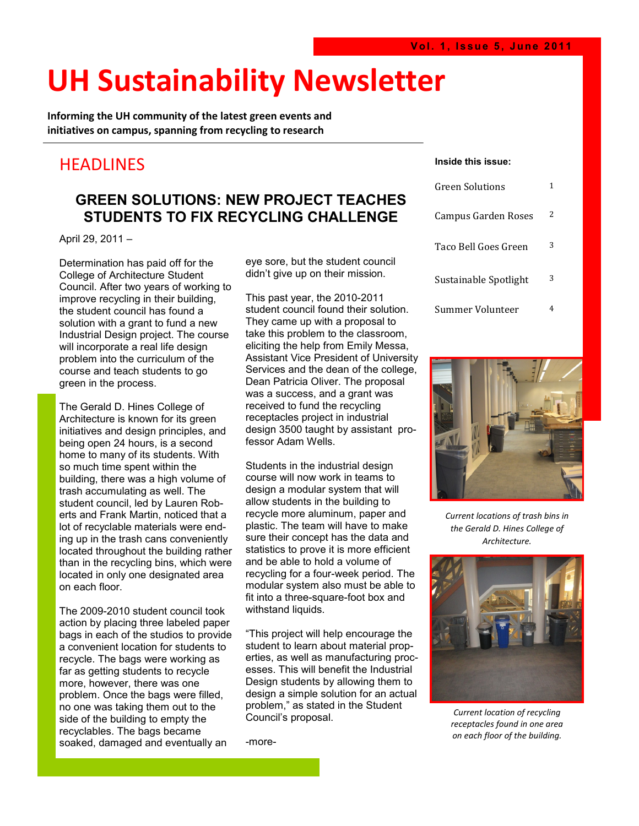## **UH Sustainability Newsletter**

**Informing the UH community of the latest green events and initiatives on campus, spanning from recycling to research** 

#### **HEADLINES**

#### **GREEN SOLUTIONS: NEW PROJECT TEACHES STUDENTS TO FIX RECYCLING CHALLENGE**

April 29, 2011 –

Determination has paid off for the College of Architecture Student Council. After two years of working to improve recycling in their building, the student council has found a solution with a grant to fund a new Industrial Design project. The course will incorporate a real life design problem into the curriculum of the course and teach students to go green in the process.

The Gerald D. Hines College of Architecture is known for its green initiatives and design principles, and being open 24 hours, is a second home to many of its students. With so much time spent within the building, there was a high volume of trash accumulating as well. The student council, led by Lauren Roberts and Frank Martin, noticed that a lot of recyclable materials were ending up in the trash cans conveniently located throughout the building rather than in the recycling bins, which were located in only one designated area on each floor.

The 2009-2010 student council took action by placing three labeled paper bags in each of the studios to provide a convenient location for students to recycle. The bags were working as far as getting students to recycle more, however, there was one problem. Once the bags were filled, no one was taking them out to the side of the building to empty the recyclables. The bags became soaked, damaged and eventually an

eye sore, but the student council didn't give up on their mission.

This past year, the 2010-2011 student council found their solution. They came up with a proposal to take this problem to the classroom, eliciting the help from Emily Messa, Assistant Vice President of University Services and the dean of the college, Dean Patricia Oliver. The proposal was a success, and a grant was received to fund the recycling receptacles project in industrial design 3500 taught by assistant professor Adam Wells.

Students in the industrial design course will now work in teams to design a modular system that will allow students in the building to recycle more aluminum, paper and plastic. The team will have to make sure their concept has the data and statistics to prove it is more efficient and be able to hold a volume of recycling for a four-week period. The modular system also must be able to fit into a three-square-foot box and withstand liquids.

"This project will help encourage the student to learn about material properties, as well as manufacturing processes. This will benefit the Industrial Design students by allowing them to design a simple solution for an actual problem," as stated in the Student Council's proposal.

-more-

#### **Inside this issue:**

| Green Solutions       |   |
|-----------------------|---|
| Campus Garden Roses   | 2 |
| Taco Bell Goes Green  | 3 |
| Sustainable Spotlight | 3 |
| Summer Volunteer      |   |



*Current locations of trash bins in the Gerald D. Hines College of Architecture.* 



*Current location of recycling receptacles found in one area on each floor of the building.*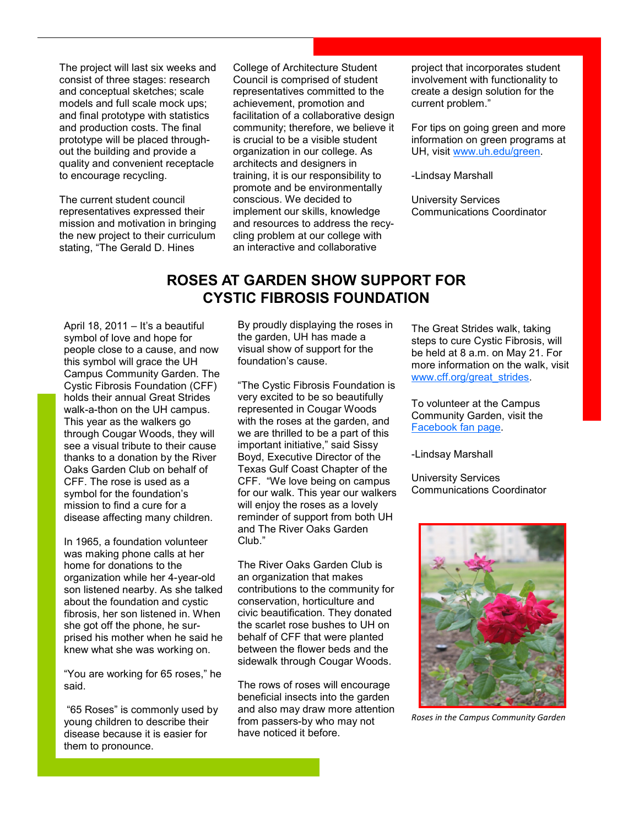The project will last six weeks and consist of three stages: research and conceptual sketches; scale models and full scale mock ups; and final prototype with statistics and production costs. The final prototype will be placed throughout the building and provide a quality and convenient receptacle to encourage recycling.

The current student council representatives expressed their mission and motivation in bringing the new project to their curriculum stating, "The Gerald D. Hines

College of Architecture Student Council is comprised of student representatives committed to the achievement, promotion and facilitation of a collaborative design community; therefore, we believe it is crucial to be a visible student organization in our college. As architects and designers in training, it is our responsibility to promote and be environmentally conscious. We decided to implement our skills, knowledge and resources to address the recycling problem at our college with an interactive and collaborative

project that incorporates student involvement with functionality to create a design solution for the current problem."

For tips on going green and more information on green programs at UH, visit [www.uh.edu/green.](http://www.uh.edu/green)

-Lindsay Marshall

University Services Communications Coordinator

#### **ROSES AT GARDEN SHOW SUPPORT FOR CYSTIC FIBROSIS FOUNDATION**

April 18, 2011 – It's a beautiful symbol of love and hope for people close to a cause, and now this symbol will grace the UH Campus Community Garden. The Cystic Fibrosis Foundation (CFF) holds their annual Great Strides walk-a-thon on the UH campus. This year as the walkers go through Cougar Woods, they will see a visual tribute to their cause thanks to a donation by the River Oaks Garden Club on behalf of CFF. The rose is used as a symbol for the foundation's mission to find a cure for a disease affecting many children.

In 1965, a foundation volunteer was making phone calls at her home for donations to the organization while her 4-year-old son listened nearby. As she talked about the foundation and cystic fibrosis, her son listened in. When she got off the phone, he surprised his mother when he said he knew what she was working on.

"You are working for 65 roses," he said.

"65 Roses" is commonly used by young children to describe their disease because it is easier for them to pronounce.

By proudly displaying the roses in the garden, UH has made a visual show of support for the foundation's cause.

"The Cystic Fibrosis Foundation is very excited to be so beautifully represented in Cougar Woods with the roses at the garden, and we are thrilled to be a part of this important initiative," said Sissy Boyd, Executive Director of the Texas Gulf Coast Chapter of the CFF. "We love being on campus for our walk. This year our walkers will enjoy the roses as a lovely reminder of support from both UH and The River Oaks Garden Club."

The River Oaks Garden Club is an organization that makes contributions to the community for conservation, horticulture and civic beautification. They donated the scarlet rose bushes to UH on behalf of CFF that were planted between the flower beds and the sidewalk through Cougar Woods.

The rows of roses will encourage beneficial insects into the garden and also may draw more attention from passers-by who may not have noticed it before.

The Great Strides walk, taking steps to cure Cystic Fibrosis, will be held at 8 a.m. on May 21. For more information on the walk, visit www.cff.org/great\_strides.

To volunteer at the Campus Community Garden, visit the [Facebook fan page.](http://www.facebook.com/pages/Campus-Community-Garden/160638127118)

-Lindsay Marshall

University Services Communications Coordinator



*Roses in the Campus Community Garden*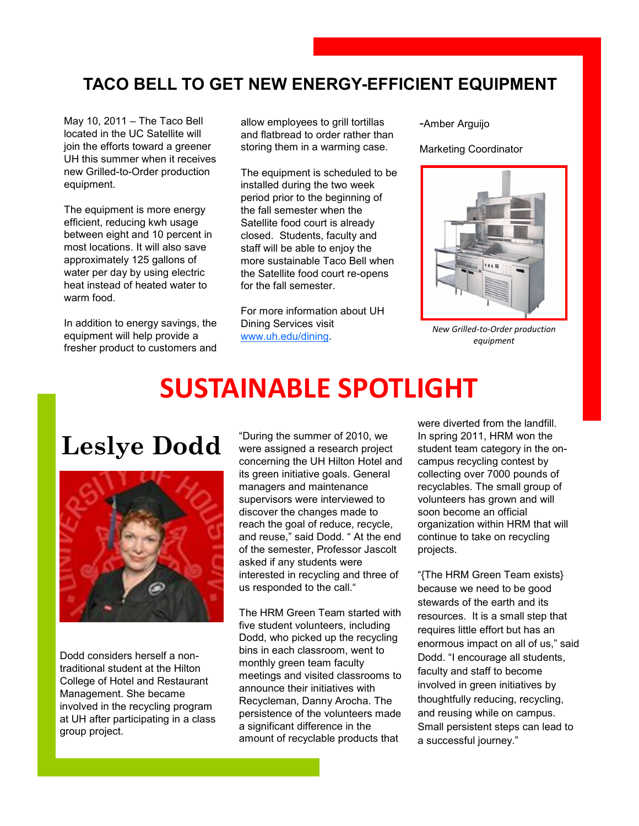### **TACO BELL TO GET NEW ENERGY-EFFICIENT EQUIPMENT**

May 10, 2011 – The Taco Bell located in the UC Satellite will join the efforts toward a greener UH this summer when it receives new Grilled-to-Order production equipment.

The equipment is more energy efficient, reducing kwh usage between eight and 10 percent in most locations. It will also save approximately 125 gallons of water per day by using electric heat instead of heated water to warm food.

In addition to energy savings, the equipment will help provide a fresher product to customers and allow employees to grill tortillas and flatbread to order rather than storing them in a warming case.

The equipment is scheduled to be installed during the two week period prior to the beginning of the fall semester when the Satellite food court is already closed. Students, faculty and staff will be able to enjoy the more sustainable Taco Bell when the Satellite food court re-opens for the fall semester.

For more information about UH Dining Services visit [www.uh.edu/dining.](http://www.uh.edu/dining)

-Amber Arguijo

Marketing Coordinator



*New Grilled‐to‐Order production equipment*

## **SUSTAINABLE SPOTLIGHT**

### **Leslye Dodd**



Dodd considers herself a nontraditional student at the Hilton College of Hotel and Restaurant Management. She became involved in the recycling program at UH after participating in a class group project.

"During the summer of 2010, we were assigned a research project concerning the UH Hilton Hotel and its green initiative goals. General managers and maintenance supervisors were interviewed to discover the changes made to reach the goal of reduce, recycle, and reuse," said Dodd. " At the end of the semester, Professor Jascolt asked if any students were interested in recycling and three of us responded to the call."

The HRM Green Team started with five student volunteers, including Dodd, who picked up the recycling bins in each classroom, went to monthly green team faculty meetings and visited classrooms to announce their initiatives with Recycleman, Danny Arocha. The persistence of the volunteers made a significant difference in the amount of recyclable products that

were diverted from the landfill. In spring 2011, HRM won the student team category in the oncampus recycling contest by collecting over 7000 pounds of recyclables. The small group of volunteers has grown and will soon become an official organization within HRM that will continue to take on recycling projects.

"{The HRM Green Team exists} because we need to be good stewards of the earth and its resources. It is a small step that requires little effort but has an enormous impact on all of us," said Dodd. "I encourage all students, faculty and staff to become involved in green initiatives by thoughtfully reducing, recycling, and reusing while on campus. Small persistent steps can lead to a successful journey."